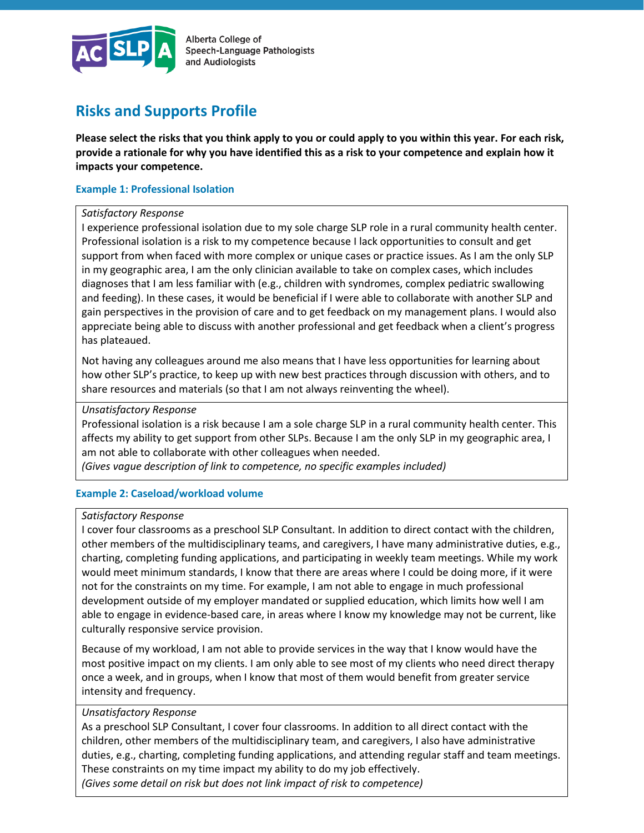

Alberta College of Speech-Language Pathologists and Audiologists

# **Risks and Supports Profile**

**Please select the risks that you think apply to you or could apply to you within this year. For each risk, provide a rationale for why you have identified this as a risk to your competence and explain how it impacts your competence.**

# **Example 1: Professional Isolation**

# *Satisfactory Response*

I experience professional isolation due to my sole charge SLP role in a rural community health center. Professional isolation is a risk to my competence because I lack opportunities to consult and get support from when faced with more complex or unique cases or practice issues. As I am the only SLP in my geographic area, I am the only clinician available to take on complex cases, which includes diagnoses that I am less familiar with (e.g., children with syndromes, complex pediatric swallowing and feeding). In these cases, it would be beneficial if I were able to collaborate with another SLP and gain perspectives in the provision of care and to get feedback on my management plans. I would also appreciate being able to discuss with another professional and get feedback when a client's progress has plateaued.

Not having any colleagues around me also means that I have less opportunities for learning about how other SLP's practice, to keep up with new best practices through discussion with others, and to share resources and materials (so that I am not always reinventing the wheel).

# *Unsatisfactory Response*

Professional isolation is a risk because I am a sole charge SLP in a rural community health center. This affects my ability to get support from other SLPs. Because I am the only SLP in my geographic area, I am not able to collaborate with other colleagues when needed.

*(Gives vague description of link to competence, no specific examples included)*

# **Example 2: Caseload/workload volume**

# *Satisfactory Response*

I cover four classrooms as a preschool SLP Consultant. In addition to direct contact with the children, other members of the multidisciplinary teams, and caregivers, I have many administrative duties, e.g., charting, completing funding applications, and participating in weekly team meetings. While my work would meet minimum standards, I know that there are areas where I could be doing more, if it were not for the constraints on my time. For example, I am not able to engage in much professional development outside of my employer mandated or supplied education, which limits how well I am able to engage in evidence-based care, in areas where I know my knowledge may not be current, like culturally responsive service provision.

Because of my workload, I am not able to provide services in the way that I know would have the most positive impact on my clients. I am only able to see most of my clients who need direct therapy once a week, and in groups, when I know that most of them would benefit from greater service intensity and frequency.

# *Unsatisfactory Response*

As a preschool SLP Consultant, I cover four classrooms. In addition to all direct contact with the children, other members of the multidisciplinary team, and caregivers, I also have administrative duties, e.g., charting, completing funding applications, and attending regular staff and team meetings. These constraints on my time impact my ability to do my job effectively. *(Gives some detail on risk but does not link impact of risk to competence)*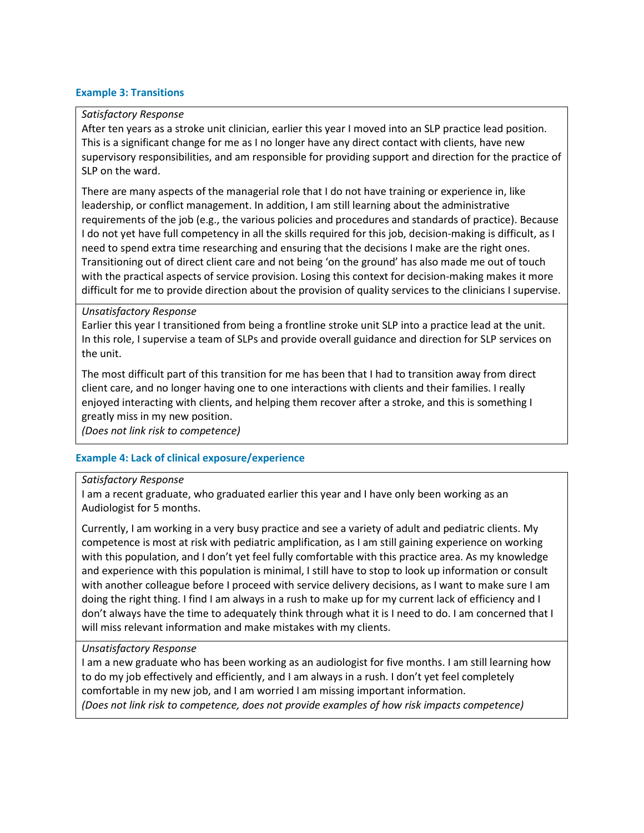# **Example 3: Transitions**

# *Satisfactory Response*

After ten years as a stroke unit clinician, earlier this year I moved into an SLP practice lead position. This is a significant change for me as I no longer have any direct contact with clients, have new supervisory responsibilities, and am responsible for providing support and direction for the practice of SLP on the ward.

There are many aspects of the managerial role that I do not have training or experience in, like leadership, or conflict management. In addition, I am still learning about the administrative requirements of the job (e.g., the various policies and procedures and standards of practice). Because I do not yet have full competency in all the skills required for this job, decision-making is difficult, as I need to spend extra time researching and ensuring that the decisions I make are the right ones. Transitioning out of direct client care and not being 'on the ground' has also made me out of touch with the practical aspects of service provision. Losing this context for decision-making makes it more difficult for me to provide direction about the provision of quality services to the clinicians I supervise.

# *Unsatisfactory Response*

Earlier this year I transitioned from being a frontline stroke unit SLP into a practice lead at the unit. In this role, I supervise a team of SLPs and provide overall guidance and direction for SLP services on the unit.

The most difficult part of this transition for me has been that I had to transition away from direct client care, and no longer having one to one interactions with clients and their families. I really enjoyed interacting with clients, and helping them recover after a stroke, and this is something I greatly miss in my new position.

*(Does not link risk to competence)*

# **Example 4: Lack of clinical exposure/experience**

# *Satisfactory Response*

I am a recent graduate, who graduated earlier this year and I have only been working as an Audiologist for 5 months.

Currently, I am working in a very busy practice and see a variety of adult and pediatric clients. My competence is most at risk with pediatric amplification, as I am still gaining experience on working with this population, and I don't yet feel fully comfortable with this practice area. As my knowledge and experience with this population is minimal, I still have to stop to look up information or consult with another colleague before I proceed with service delivery decisions, as I want to make sure I am doing the right thing. I find I am always in a rush to make up for my current lack of efficiency and I don't always have the time to adequately think through what it is I need to do. I am concerned that I will miss relevant information and make mistakes with my clients.

# *Unsatisfactory Response*

I am a new graduate who has been working as an audiologist for five months. I am still learning how to do my job effectively and efficiently, and I am always in a rush. I don't yet feel completely comfortable in my new job, and I am worried I am missing important information. *(Does not link risk to competence, does not provide examples of how risk impacts competence)*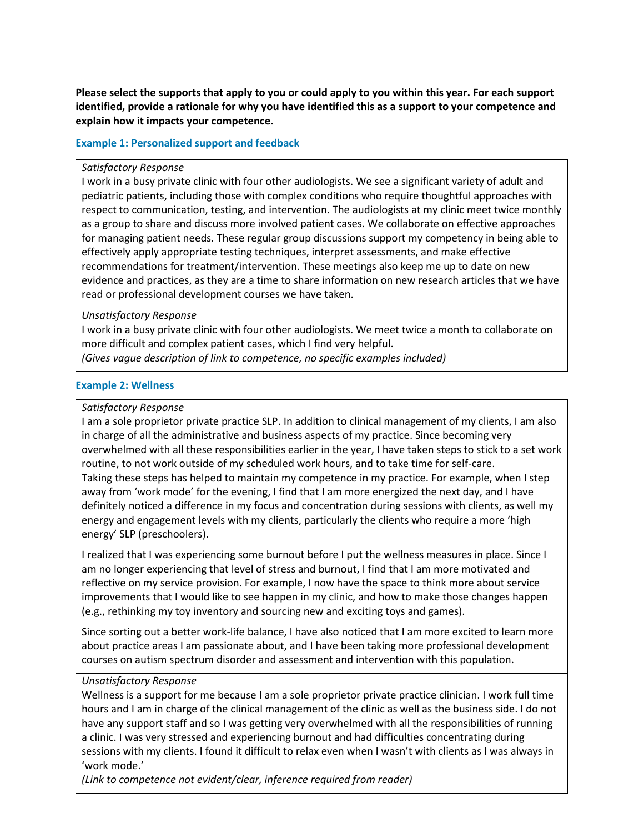**Please select the supports that apply to you or could apply to you within this year. For each support identified, provide a rationale for why you have identified this as a support to your competence and explain how it impacts your competence.** 

# **Example 1: Personalized support and feedback**

#### *Satisfactory Response*

I work in a busy private clinic with four other audiologists. We see a significant variety of adult and pediatric patients, including those with complex conditions who require thoughtful approaches with respect to communication, testing, and intervention. The audiologists at my clinic meet twice monthly as a group to share and discuss more involved patient cases. We collaborate on effective approaches for managing patient needs. These regular group discussions support my competency in being able to effectively apply appropriate testing techniques, interpret assessments, and make effective recommendations for treatment/intervention. These meetings also keep me up to date on new evidence and practices, as they are a time to share information on new research articles that we have read or professional development courses we have taken.

# *Unsatisfactory Response*

I work in a busy private clinic with four other audiologists. We meet twice a month to collaborate on more difficult and complex patient cases, which I find very helpful.

*(Gives vague description of link to competence, no specific examples included)*

# **Example 2: Wellness**

# *Satisfactory Response*

I am a sole proprietor private practice SLP. In addition to clinical management of my clients, I am also in charge of all the administrative and business aspects of my practice. Since becoming very overwhelmed with all these responsibilities earlier in the year, I have taken steps to stick to a set work routine, to not work outside of my scheduled work hours, and to take time for self-care. Taking these steps has helped to maintain my competence in my practice. For example, when I step away from 'work mode' for the evening, I find that I am more energized the next day, and I have definitely noticed a difference in my focus and concentration during sessions with clients, as well my energy and engagement levels with my clients, particularly the clients who require a more 'high energy' SLP (preschoolers).

I realized that I was experiencing some burnout before I put the wellness measures in place. Since I am no longer experiencing that level of stress and burnout, I find that I am more motivated and reflective on my service provision. For example, I now have the space to think more about service improvements that I would like to see happen in my clinic, and how to make those changes happen (e.g., rethinking my toy inventory and sourcing new and exciting toys and games).

Since sorting out a better work-life balance, I have also noticed that I am more excited to learn more about practice areas I am passionate about, and I have been taking more professional development courses on autism spectrum disorder and assessment and intervention with this population.

# *Unsatisfactory Response*

Wellness is a support for me because I am a sole proprietor private practice clinician. I work full time hours and I am in charge of the clinical management of the clinic as well as the business side. I do not have any support staff and so I was getting very overwhelmed with all the responsibilities of running a clinic. I was very stressed and experiencing burnout and had difficulties concentrating during sessions with my clients. I found it difficult to relax even when I wasn't with clients as I was always in 'work mode.'

*(Link to competence not evident/clear, inference required from reader)*